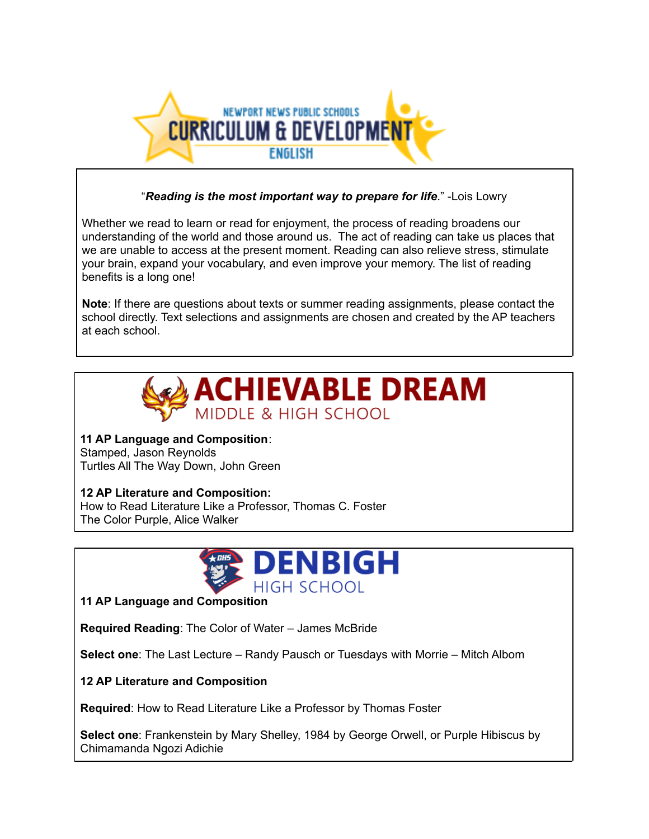

#### "*Reading is the most important way to prepare for life*." -Lois Lowry

Whether we read to learn or read for enjoyment, the process of reading broadens our understanding of the world and those around us. The act of reading can take us places that we are unable to access at the present moment. Reading can also relieve stress, stimulate your brain, expand your vocabulary, and even improve your memory. The list of reading benefits is a long one!

**Note**: If there are questions about texts or summer reading assignments, please contact the school directly. Text selections and assignments are chosen and created by the AP teachers at each school.



**11 AP Language and Composition**: Stamped, Jason Reynolds Turtles All The Way Down, John Green

**12 AP Literature and Composition:** How to Read Literature Like a Professor, Thomas C. Foster The Color Purple, Alice Walker



**11 AP Language and Composition**

**Required Reading**: The Color of Water – James McBride

**Select one**: The Last Lecture – Randy Pausch or Tuesdays with Morrie – Mitch Albom

**12 AP Literature and Composition**

**Required**: How to Read Literature Like a Professor by Thomas Foster

**Select one**: Frankenstein by Mary Shelley, 1984 by George Orwell, or Purple Hibiscus by Chimamanda Ngozi Adichie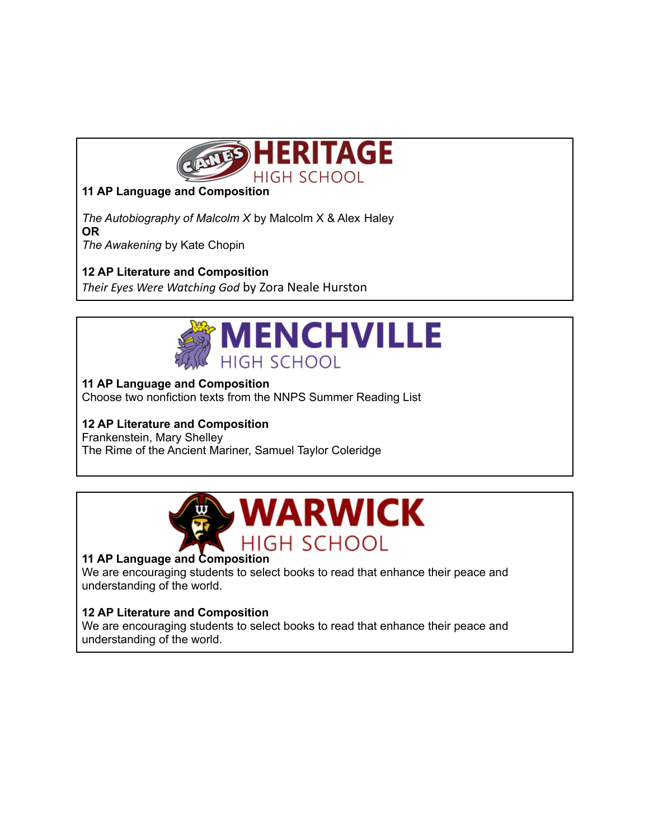

## **11 AP Language and Composition**

*The Autobiography of Malcolm X* by Malcolm X & Alex Haley **OR** *The Awakening* by Kate Chopin

### **12 AP Literature and Composition**

*Their Eyes Were Watching God* by Zora Neale Hurston



#### **11 AP Language and Composition**

Choose two nonfiction texts from the NNPS Summer Reading List

# **12 AP Literature and Composition**

Frankenstein, Mary Shelley The Rime of the Ancient Mariner, Samuel Taylor Coleridge



### **11 AP Language and Composition**

We are encouraging students to select books to read that enhance their peace and understanding of the world.

#### **12 AP Literature and Composition**

We are encouraging students to select books to read that enhance their peace and understanding of the world.